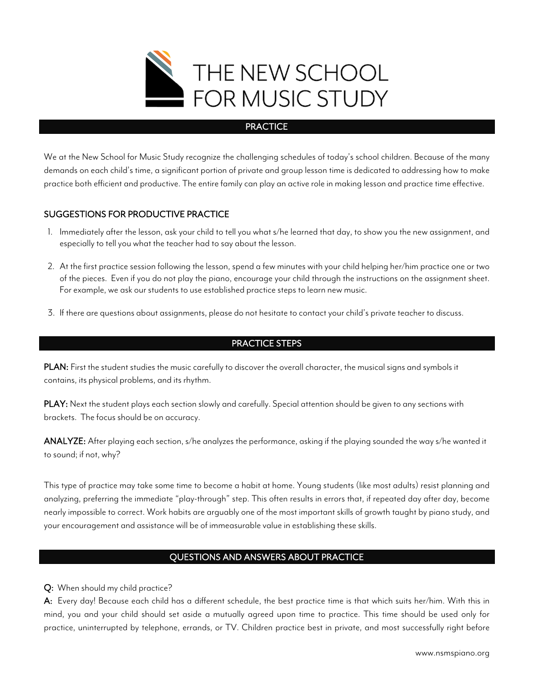

#### **PRACTICE**

We at the New School for Music Study recognize the challenging schedules of today's school children. Because of the many demands on each child's time, a significant portion of private and group lesson time is dedicated to addressing how to make practice both efficient and productive. The entire family can play an active role in making lesson and practice time effective.

## SUGGESTIONS FOR PRODUCTIVE PRACTICE

- 1. Immediately after the lesson, ask your child to tell you what s/he learned that day, to show you the new assignment, and especially to tell you what the teacher had to say about the lesson.
- 2. At the first practice session following the lesson, spend a few minutes with your child helping her/him practice one or two of the pieces. Even if you do not play the piano, encourage your child through the instructions on the assignment sheet. For example, we ask our students to use established practice steps to learn new music.
- 3. If there are questions about assignments, please do not hesitate to contact your child's private teacher to discuss.

#### PRACTICE STEPS

PLAN: First the student studies the music carefully to discover the overall character, the musical signs and symbols it contains, its physical problems, and its rhythm.

PLAY: Next the student plays each section slowly and carefully. Special attention should be given to any sections with brackets. The focus should be on accuracy.

ANALYZE: After playing each section, s/he analyzes the performance, asking if the playing sounded the way s/he wanted it to sound; if not, why?

This type of practice may take some time to become a habit at home. Young students (like most adults) resist planning and analyzing, preferring the immediate "play-through" step. This often results in errors that, if repeated day after day, become nearly impossible to correct. Work habits are arguably one of the most important skills of growth taught by piano study, and your encouragement and assistance will be of immeasurable value in establishing these skills.

# QUESTIONS AND ANSWERS ABOUT PRACTICE

Q: When should my child practice?

A: Every day! Because each child has a different schedule, the best practice time is that which suits her/him. With this in mind, you and your child should set aside a mutually agreed upon time to practice. This time should be used only for practice, uninterrupted by telephone, errands, or TV. Children practice best in private, and most successfully right before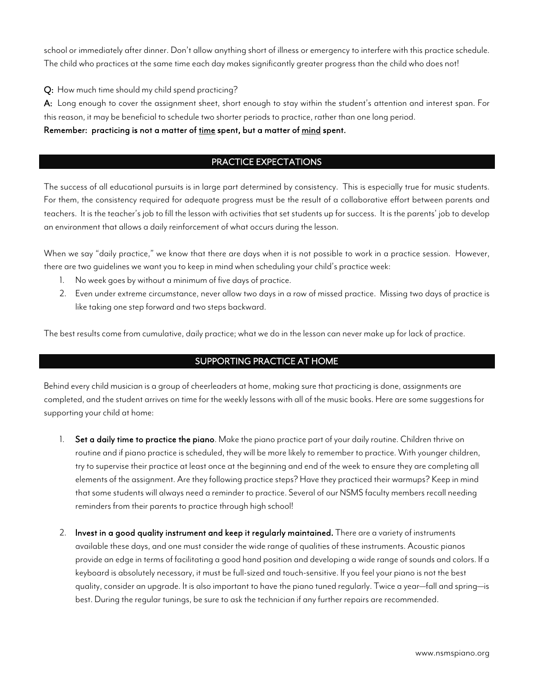school or immediately after dinner. Don't allow anything short of illness or emergency to interfere with this practice schedule. The child who practices at the same time each day makes significantly greater progress than the child who does not!

Q: How much time should my child spend practicing?

A: Long enough to cover the assignment sheet, short enough to stay within the student's attention and interest span. For this reason, it may be beneficial to schedule two shorter periods to practice, rather than one long period.

Remember: practicing is not a matter of time spent, but a matter of mind spent.

# PRACTICE EXPECTATIONS

The success of all educational pursuits is in large part determined by consistency. This is especially true for music students. For them, the consistency required for adequate progress must be the result of a collaborative effort between parents and teachers. It is the teacher's job to fill the lesson with activities that set students up for success. It is the parents' job to develop an environment that allows a daily reinforcement of what occurs during the lesson.

When we say "daily practice," we know that there are days when it is not possible to work in a practice session. However, there are two guidelines we want you to keep in mind when scheduling your child's practice week:

- 1. No week goes by without a minimum of five days of practice.
- 2. Even under extreme circumstance, never allow two days in a row of missed practice. Missing two days of practice is like taking one step forward and two steps backward.

The best results come from cumulative, daily practice; what we do in the lesson can never make up for lack of practice.

## SUPPORTING PRACTICE AT HOME

Behind every child musician is a group of cheerleaders at home, making sure that practicing is done, assignments are completed, and the student arrives on time for the weekly lessons with all of the music books. Here are some suggestions for supporting your child at home:

- 1. Set a daily time to practice the piano. Make the piano practice part of your daily routine. Children thrive on routine and if piano practice is scheduled, they will be more likely to remember to practice. With younger children, try to supervise their practice at least once at the beginning and end of the week to ensure they are completing all elements of the assignment. Are they following practice steps? Have they practiced their warmups? Keep in mind that some students will always need a reminder to practice. Several of our NSMS faculty members recall needing reminders from their parents to practice through high school!
- 2. Invest in a good quality instrument and keep it regularly maintained. There are a variety of instruments available these days, and one must consider the wide range of qualities of these instruments. Acoustic pianos provide an edge in terms of facilitating a good hand position and developing a wide range of sounds and colors. If a keyboard is absolutely necessary, it must be full-sized and touch-sensitive. If you feel your piano is not the best quality, consider an upgrade. It is also important to have the piano tuned regularly. Twice a year—fall and spring—is best. During the regular tunings, be sure to ask the technician if any further repairs are recommended.